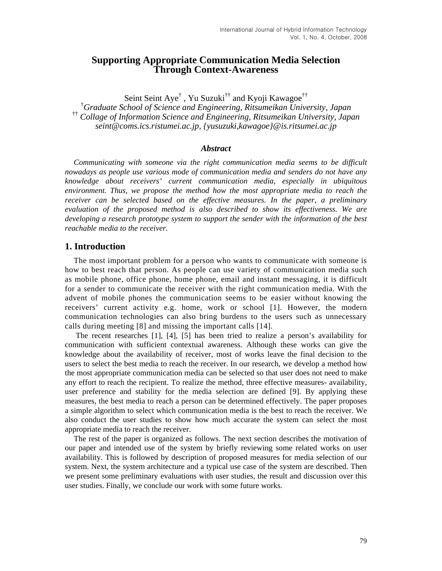## **Supporting Appropriate Communication Media Selection Through Context-Awareness**

Seint Seint Aye<sup>†</sup>, Yu Suzuki<sup>††</sup> and Kyoji Kawagoe<sup>††</sup>

<sup>†</sup> Graduate School of Science and Engineering, Ritsumeikan University, Japan <sup>††</sup> Collage of Information Science and Engineering, Ritsumeikan University, Japan *seint@coms.ics.ristumei.ac.jp, {yusuzuki,kawagoe}@is.ritsumei.ac.jp* 

#### *Abstract*

*Communicating with someone via the right communication media seems to be difficult nowadays as people use various mode of communication media and senders do not have any knowledge about receivers' current communication media, especially in ubiquitous environment. Thus, we propose the method how the most appropriate media to reach the receiver can be selected based on the effective measures. In the paper, a preliminary evaluation of the proposed method is also described to show its effectiveness. We are developing a research prototype system to support the sender with the information of the best reachable media to the receiver.* 

#### **1. Introduction**

The most important problem for a person who wants to communicate with someone is how to best reach that person. As people can use variety of communication media such as mobile phone, office phone, home phone, email and instant messaging, it is difficult for a sender to communicate the receiver with the right communication media. With the advent of mobile phones the communication seems to be easier without knowing the receivers' current activity e.g. home, work or school [1]. However, the modern communication technologies can also bring burdens to the users such as unnecessary calls during meeting [8] and missing the important calls [14].

 The recent researches [1], [4], [5] has been tried to realize a person's availability for communication with sufficient contextual awareness. Although these works can give the knowledge about the availability of receiver, most of works leave the final decision to the users to select the best media to reach the receiver. In our research, we develop a method how the most appropriate communication media can be selected so that user does not need to make any effort to reach the recipient. To realize the method, three effective measures- availability, user preference and stability for the media selection are defined [9]. By applying these measures, the best media to reach a person can be determined effectively. The paper proposes a simple algorithm to select which communication media is the best to reach the receiver. We also conduct the user studies to show how much accurate the system can select the most appropriate media to reach the receiver.

The rest of the paper is organized as follows. The next section describes the motivation of our paper and intended use of the system by briefly reviewing some related works on user availability. This is followed by description of proposed measures for media selection of our system. Next, the system architecture and a typical use case of the system are described. Then we present some preliminary evaluations with user studies, the result and discussion over this user studies. Finally, we conclude our work with some future works.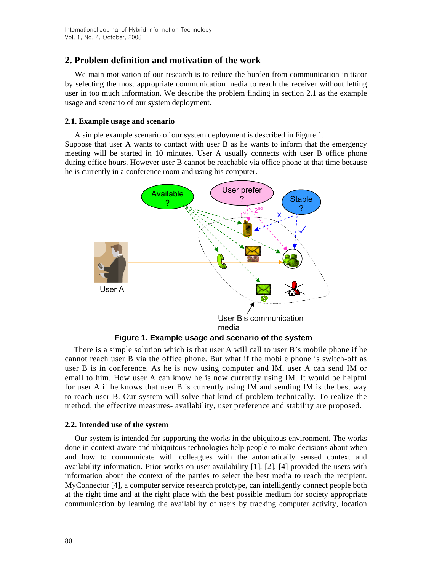### **2. Problem definition and motivation of the work**

We main motivation of our research is to reduce the burden from communication initiator by selecting the most appropriate communication media to reach the receiver without letting user in too much information. We describe the problem finding in section 2.1 as the example usage and scenario of our system deployment.

#### **2.1. Example usage and scenario**

A simple example scenario of our system deployment is described in Figure 1. Suppose that user A wants to contact with user B as he wants to inform that the emergency meeting will be started in 10 minutes. User A usually connects with user B office phone during office hours. However user B cannot be reachable via office phone at that time because he is currently in a conference room and using his computer.



There is a simple solution which is that user A will call to user B's mobile phone if he cannot reach user B via the office phone. But what if the mobile phone is switch-off as user B is in conference. As he is now using computer and IM, user A can send IM or email to him. How user A can know he is now currently using IM. It would be helpful for user A if he knows that user B is currently using IM and sending IM is the best way to reach user B. Our system will solve that kind of problem technically. To realize the method, the effective measures- availability, user preference and stability are proposed.

#### **2.2. Intended use of the system**

Our system is intended for supporting the works in the ubiquitous environment. The works done in context-aware and ubiquitous technologies help people to make decisions about when and how to communicate with colleagues with the automatically sensed context and availability information. Prior works on user availability [1], [2], [4] provided the users with information about the context of the parties to select the best media to reach the recipient. MyConnector [4], a computer service research prototype, can intelligently connect people both at the right time and at the right place with the best possible medium for society appropriate communication by learning the availability of users by tracking computer activity, location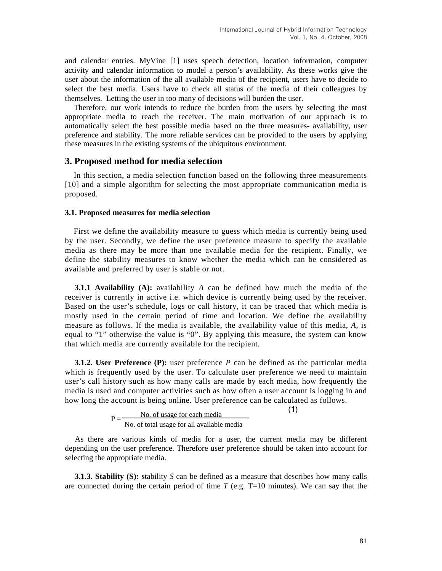and calendar entries. MyVine [1] uses speech detection, location information, computer activity and calendar information to model a person's availability. As these works give the user about the information of the all available media of the recipient, users have to decide to select the best media. Users have to check all status of the media of their colleagues by themselves. Letting the user in too many of decisions will burden the user.

Therefore, our work intends to reduce the burden from the users by selecting the most appropriate media to reach the receiver. The main motivation of our approach is to automatically select the best possible media based on the three measures- availability, user preference and stability. The more reliable services can be provided to the users by applying these measures in the existing systems of the ubiquitous environment.

### **3. Proposed method for media selection**

In this section, a media selection function based on the following three measurements [10] and a simple algorithm for selecting the most appropriate communication media is proposed.

#### **3.1. Proposed measures for media selection**

First we define the availability measure to guess which media is currently being used by the user. Secondly, we define the user preference measure to specify the available media as there may be more than one available media for the recipient. Finally, we define the stability measures to know whether the media which can be considered as available and preferred by user is stable or not.

**3.1.1 Availability (A):** availability *A* can be defined how much the media of the receiver is currently in active i.e. which device is currently being used by the receiver. Based on the user's schedule, logs or call history, it can be traced that which media is mostly used in the certain period of time and location. We define the availability measure as follows. If the media is available, the availability value of this media, *A*, is equal to "1" otherwise the value is "0". By applying this measure, the system can know that which media are currently available for the recipient.

**3.1.2. User Preference (P):** user preference *P* can be defined as the particular media which is frequently used by the user. To calculate user preference we need to maintain user's call history such as how many calls are made by each media, how frequently the media is used and computer activities such as how often a user account is logging in and how long the account is being online. User preference can be calculated as follows.

 $P = \frac{N_0 \cdot \text{of usage for each media}}{(1)}$ No. of total usage for all available media

As there are various kinds of media for a user, the current media may be different depending on the user preference. Therefore user preference should be taken into account for selecting the appropriate media.

**3.1.3. Stability (S):** stability *S* can be defined as a measure that describes how many calls are connected during the certain period of time  $T$  (e.g.  $T=10$  minutes). We can say that the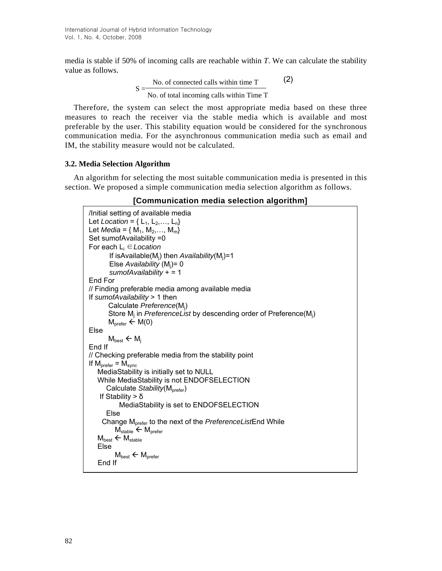media is stable if 50% of incoming calls are reachable within *T*. We can calculate the stability value as follows.

$$
S = \frac{\text{No. of connected calls within time T}}{\text{No. of total incoming calls within Time T}}
$$
 (2)

Therefore, the system can select the most appropriate media based on these three measures to reach the receiver via the stable media which is available and most preferable by the user. This stability equation would be considered for the synchronous communication media. For the asynchronous communication media such as email and IM, the stability measure would not be calculated.

#### **3.2. Media Selection Algorithm**

An algorithm for selecting the most suitable communication media is presented in this section. We proposed a simple communication media selection algorithm as follows.

| [Communication media selection algorithm] |  |  |
|-------------------------------------------|--|--|
|                                           |  |  |

```
/Initial setting of available media 
Let Location = \{L_1, L_2, \ldots, L_n\}Let Media = { M_1, M_2, ..., M_m}
Set sumofAvailability =0
For each L<sub>i</sub> ∈ Location
        If isAvailable(M<sub>j</sub>) then Availability(M<sub>j</sub>)=1
        Else Availability (M<sub>j</sub>)= 0
        sumofAvailability + = 1 
End For 
// Finding preferable media among available media 
If sumofAvailability > 1 then 
        Calculate Preference(M<sub>j</sub>)
        Store M<sub>j</sub> in PreferenceList by descending order of Preference(M<sub>j</sub>)
        M_{\text{prefer}} \leftarrow M(0)Else 
        M_{best} \leftarrow M_jEnd If 
// Checking preferable media from the stability point 
If M_{\text{prefer}} = M_{\text{sync}}MediaStability is initially set to NULL 
   While MediaStability is not ENDOFSELECTION 
       Calculate Stability(M<sub>prefer</sub>)
    If Stability > δ
            MediaStability is set to ENDOFSELECTION 
       Else
     Change M<sub>prefer</sub> to the next of the PreferenceListEnd While
          M_{stable} \leftarrow M_{prefer}M_{best} \leftarrow M_{stable}Else 
   M_{best} \leftarrow M_{prefer}End If
```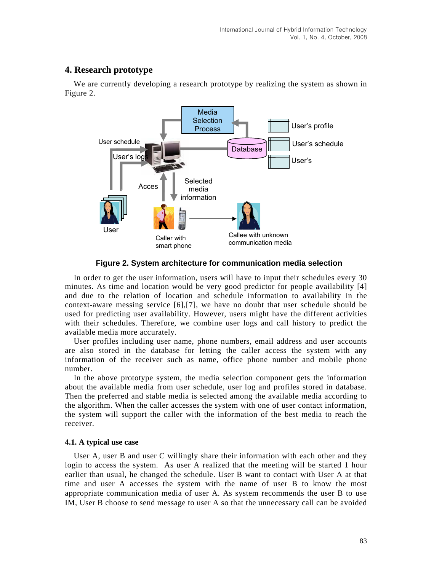# **4. Research prototype**

User schedule Database User's profile User's schedule User's **Media** Selection Process Acces Selected media information Caller with smart phone Callee with unknown communication media User User's log

We are currently developing a research prototype by realizing the system as shown in Figure 2.

#### **Figure 2. System architecture for communication media selection**

In order to get the user information, users will have to input their schedules every 30 minutes. As time and location would be very good predictor for people availability [4] and due to the relation of location and schedule information to availability in the context-aware messing service [6],[7], we have no doubt that user schedule should be used for predicting user availability. However, users might have the different activities with their schedules. Therefore, we combine user logs and call history to predict the available media more accurately.

User profiles including user name, phone numbers, email address and user accounts are also stored in the database for letting the caller access the system with any information of the receiver such as name, office phone number and mobile phone number.

In the above prototype system, the media selection component gets the information about the available media from user schedule, user log and profiles stored in database. Then the preferred and stable media is selected among the available media according to the algorithm. When the caller accesses the system with one of user contact information, the system will support the caller with the information of the best media to reach the receiver.

#### **4.1. A typical use case**

User A, user B and user C willingly share their information with each other and they login to access the system. As user A realized that the meeting will be started 1 hour earlier than usual, he changed the schedule. User B want to contact with User A at that time and user A accesses the system with the name of user B to know the most appropriate communication media of user A. As system recommends the user B to use IM, User B choose to send message to user A so that the unnecessary call can be avoided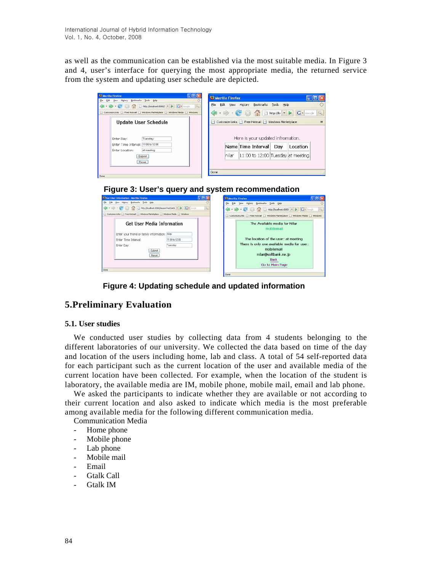as well as the communication can be established via the most suitable media. In Figure 3 and 4, user's interface for querying the most appropriate media, the returned service from the system and updating user schedule are depicted.

| Mozilla Firefox                                                                | Mozilla Firefox                                                                                                                                                                                                                                                                        |
|--------------------------------------------------------------------------------|----------------------------------------------------------------------------------------------------------------------------------------------------------------------------------------------------------------------------------------------------------------------------------------|
| Yew Higtory Bookmarks Tools<br>Help                                            |                                                                                                                                                                                                                                                                                        |
| 4 - B C & C Bresilies about 50000; - D G Google                                | Bookmarks Tools<br>Help<br>File Edit View History                                                                                                                                                                                                                                      |
| Customize Links   Free Hotmail   Windows Marketplace   Windows Media   Windows | $\left( \Box \bullet \Box \bullet \bullet \Box \bullet \Box \right)$ $\left( \Box \bullet \Box \right)$ $\left( \Box \bullet \Box \right)$ $\left( \Box \bullet \Box \right)$ $\left( \Box \bullet \Box \right)$ $\left( \Box \bullet \Box \right)$ $\left( \Box \bullet \Box \right)$ |
| Update User Schedule                                                           | Customize Links   Free Hotmail   Windows Marketplace<br>$\boldsymbol{\Sigma}$                                                                                                                                                                                                          |
| Tuesday<br>Enter Day:                                                          | Here is your updated infromation.                                                                                                                                                                                                                                                      |
| Enter Time Interval: 11:00 to 12:00<br>at meeting<br>Enter Location:           | Name Time Interval<br>Location<br>Day                                                                                                                                                                                                                                                  |
| Submit                                                                         | Inilar I<br>11:00 to 12:00 Tuesday at meeting                                                                                                                                                                                                                                          |
| Reset                                                                          |                                                                                                                                                                                                                                                                                        |
|                                                                                | Done                                                                                                                                                                                                                                                                                   |
| Done                                                                           |                                                                                                                                                                                                                                                                                        |





**Figure 4: Updating schedule and updated information**

# **5.Preliminary Evaluation**

#### **5.1. User studies**

We conducted user studies by collecting data from 4 students belonging to the different laboratories of our university. We collected the data based on time of the day and location of the users including home, lab and class. A total of 54 self-reported data for each participant such as the current location of the user and available media of the current location have been collected. For example, when the location of the student is laboratory, the available media are IM, mobile phone, mobile mail, email and lab phone.

We asked the participants to indicate whether they are available or not according to their current location and also asked to indicate which media is the most preferable among available media for the following different communication media.

Communication Media

- Home phone
- Mobile phone
- Lab phone
- Mobile mail
- Email
- Gtalk Call
- Gtalk IM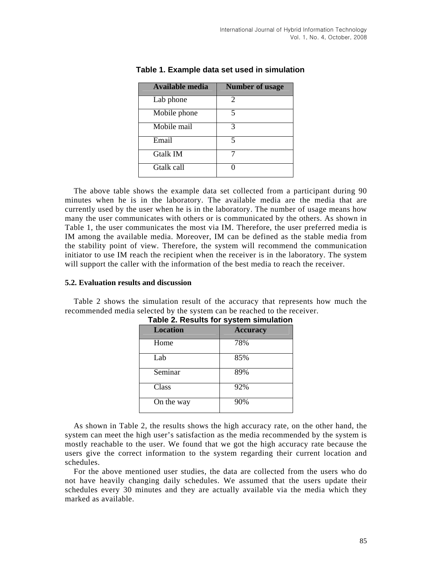| Available media | <b>Number of usage</b> |
|-----------------|------------------------|
| Lab phone       | 2                      |
| Mobile phone    |                        |
| Mobile mail     |                        |
| Email           | 5                      |
| <b>Gtalk IM</b> |                        |
| Gtalk call      |                        |

|  |  |  | Table 1. Example data set used in simulation |
|--|--|--|----------------------------------------------|
|--|--|--|----------------------------------------------|

The above table shows the example data set collected from a participant during 90 minutes when he is in the laboratory. The available media are the media that are currently used by the user when he is in the laboratory. The number of usage means how many the user communicates with others or is communicated by the others. As shown in Table 1, the user communicates the most via IM. Therefore, the user preferred media is IM among the available media. Moreover, IM can be defined as the stable media from the stability point of view. Therefore, the system will recommend the communication initiator to use IM reach the recipient when the receiver is in the laboratory. The system will support the caller with the information of the best media to reach the receiver.

#### **5.2. Evaluation results and discussion**

Table 2 shows the simulation result of the accuracy that represents how much the recommended media selected by the system can be reached to the receiver.

| <b>Location</b> | <b>Accuracy</b> |
|-----------------|-----------------|
| Home            | 78%             |
| Lab             | 85%             |
| Seminar         | 89%             |
| Class           | 92%             |
| On the way      | 90%             |

As shown in Table 2, the results shows the high accuracy rate, on the other hand, the system can meet the high user's satisfaction as the media recommended by the system is mostly reachable to the user. We found that we got the high accuracy rate because the users give the correct information to the system regarding their current location and schedules.

For the above mentioned user studies, the data are collected from the users who do not have heavily changing daily schedules. We assumed that the users update their schedules every 30 minutes and they are actually available via the media which they marked as available.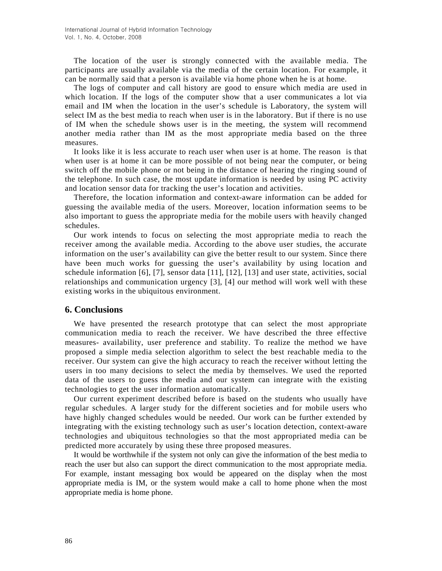The location of the user is strongly connected with the available media. The participants are usually available via the media of the certain location. For example, it can be normally said that a person is available via home phone when he is at home.

The logs of computer and call history are good to ensure which media are used in which location. If the logs of the computer show that a user communicates a lot via email and IM when the location in the user's schedule is Laboratory, the system will select IM as the best media to reach when user is in the laboratory. But if there is no use of IM when the schedule shows user is in the meeting, the system will recommend another media rather than IM as the most appropriate media based on the three measures.

It looks like it is less accurate to reach user when user is at home. The reason is that when user is at home it can be more possible of not being near the computer, or being switch off the mobile phone or not being in the distance of hearing the ringing sound of the telephone. In such case, the most update information is needed by using PC activity and location sensor data for tracking the user's location and activities.

Therefore, the location information and context-aware information can be added for guessing the available media of the users. Moreover, location information seems to be also important to guess the appropriate media for the mobile users with heavily changed schedules.

Our work intends to focus on selecting the most appropriate media to reach the receiver among the available media. According to the above user studies, the accurate information on the user's availability can give the better result to our system. Since there have been much works for guessing the user's availability by using location and schedule information [6], [7], sensor data [11], [12], [13] and user state, activities, social relationships and communication urgency [3], [4] our method will work well with these existing works in the ubiquitous environment.

### **6. Conclusions**

We have presented the research prototype that can select the most appropriate communication media to reach the receiver. We have described the three effective measures- availability, user preference and stability. To realize the method we have proposed a simple media selection algorithm to select the best reachable media to the receiver. Our system can give the high accuracy to reach the receiver without letting the users in too many decisions to select the media by themselves. We used the reported data of the users to guess the media and our system can integrate with the existing technologies to get the user information automatically.

Our current experiment described before is based on the students who usually have regular schedules. A larger study for the different societies and for mobile users who have highly changed schedules would be needed. Our work can be further extended by integrating with the existing technology such as user's location detection, context-aware technologies and ubiquitous technologies so that the most appropriated media can be predicted more accurately by using these three proposed measures.

It would be worthwhile if the system not only can give the information of the best media to reach the user but also can support the direct communication to the most appropriate media. For example, instant messaging box would be appeared on the display when the most appropriate media is IM, or the system would make a call to home phone when the most appropriate media is home phone.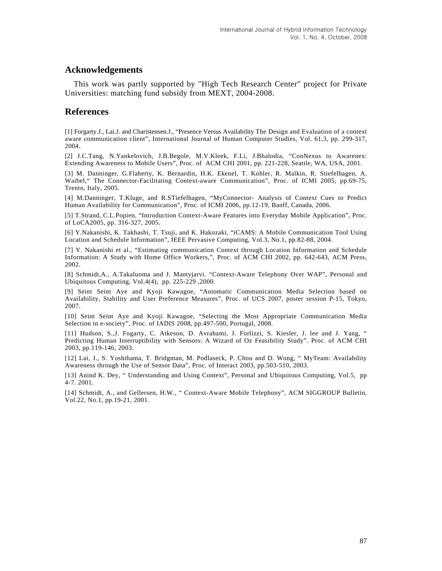#### **Acknowledgements**

This work was partly supported by "High Tech Research Center" project for Private Universities: matching fund subsidy from MEXT, 2004-2008.

#### **References**

[1] Forgarty.J., Lai.J. and Charistensen.J., "Presence Versus Availability The Design and Evaluation of a context aware communication client", International Journal of Human Computer Studies, Vol. 61,3, pp. 299-317, 2004.

[2] J.C.Tang, N.Yankelovich, J.B.Begole, M.V.Kleek, F.Li, J.Bhalodia, "ConNexus to Awarenex: Extending Awareness to Mobile Users", Proc. of ACM CHI 2001, pp. 221-228, Seattle, WA, USA, 2001.

[3] M. Danninger, G.Flaherty, K. Bernardin, H.K. Ekenel, T. Kohler, R. Malkin, R. Stiefelhagen, A. Waibel," The Connector-Facilitating Context-aware Communication", Proc. of ICMI 2005, pp.69-75, Trento, Italy, 2005.

[4] M.Danninger, T.Kluge, and R.STiefelhagen, "MyConnector- Analysis of Context Cues to Predict Human Availability for Communication", Proc. of ICMI 2006, pp.12-19, Banff, Canada, 2006.

[5] T.Strand, C.L.Popien, "Introduction Context-Aware Features into Everyday Mobile Application", Proc. of LoCA2005, pp. 316-327, 2005.

[6] Y.Nakanishi, K. Takhashi, T. Tsuji, and K. Hakozaki, "iCAMS: A Mobile Communication Tool Using Location and Schedule Information", IEEE Pervasive Computing, Vol.3, No.1, pp.82-88, 2004.

[7] Y. Nakanishi et al., "Estimating communication Context through Location Information and Schedule Information: A Study with Home Office Workers,", Proc. of ACM CHI 2002, pp. 642-643, ACM Press, 2002.

[8] Schmidt,A., A.Takaluoma and J. Mantyjarvi. "Context-Aware Telephony Over WAP", Personal and Ubiquitous Computing, Vol.4(4), pp. 225-229 ,2000.

[9] Seint Seint Aye and Kyoji Kawagoe, "Automatic Communication Media Selection based on Availability, Stability and User Preference Measures", Proc. of UCS 2007, poster session P-15, Tokyo, 2007.

[10] Seint Seint Aye and Kyoji Kawagoe, "Selecting the Most Appropriate Communication Media Selection in e-society", Proc. of IADIS 2008, pp.497-500, Portugal, 2008.

[11] Hudson, S.,J. Fogarty, C. Atkeson, D. Avrahami, J. Forlizzi, S. Kiesler, J. lee and J. Yang, " Predicting Human Interruptibility with Sensors: A Wizard of Oz Feasibility Study". Proc. of ACM CHI 2003, pp.119-146, 2003.

[12] Lai, J., S. Yoshihama, T. Bridgman, M. Podlaseck, P. Chou and D. Wong, " MyTeam: Availability Awareness through the Use of Sensor Data", Proc. of Interact 2003, pp.503-510, 2003.

[13] Anind K. Dey, " Understanding and Using Context", Personal and Ubiquitous Computing, Vol.5, pp 4-7. 2001.

[14] Schmidt, A., and Gellersen, H.W., " Context-Aware Mobile Telephony", ACM SIGGROUP Bulletin, Vol.22, No.1, pp.19-21, 2001.